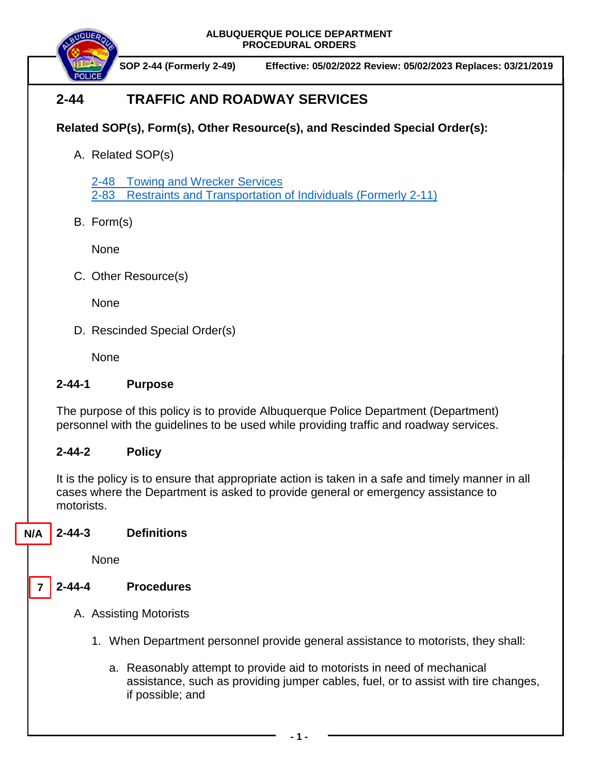**ALBUQUERQUE POLICE DEPARTMENT PROCEDURAL ORDERS**



**SOP 2-44 (Formerly 2-49) Effective: 05/02/2022 Review: 05/02/2023 Replaces: 03/21/2019**

# **2-44 TRAFFIC AND ROADWAY SERVICES**

## **Related SOP(s), Form(s), Other Resource(s), and Rescinded Special Order(s):**

A. Related SOP(s)

2-48 [Towing and Wrecker Services](https://powerdms.com/docs/131?q=2-48) 2-83 [Restraints and Transportation of Individuals](https://powerdms.com/docs/93?q=2-83) (Formerly 2-11)

B. Form(s)

None

C. Other Resource(s)

None

D. Rescinded Special Order(s)

**None** 

## **2-44-1 Purpose**

The purpose of this policy is to provide Albuquerque Police Department (Department) personnel with the guidelines to be used while providing traffic and roadway services.

## **2-44-2 Policy**

It is the policy is to ensure that appropriate action is taken in a safe and timely manner in all cases where the Department is asked to provide general or emergency assistance to motorists.

#### **2-44-3 Definitions N/A**

None

#### **2-44-4 Procedures 7**

- A. Assisting Motorists
	- 1. When Department personnel provide general assistance to motorists, they shall:
		- a. Reasonably attempt to provide aid to motorists in need of mechanical assistance, such as providing jumper cables, fuel, or to assist with tire changes, if possible; and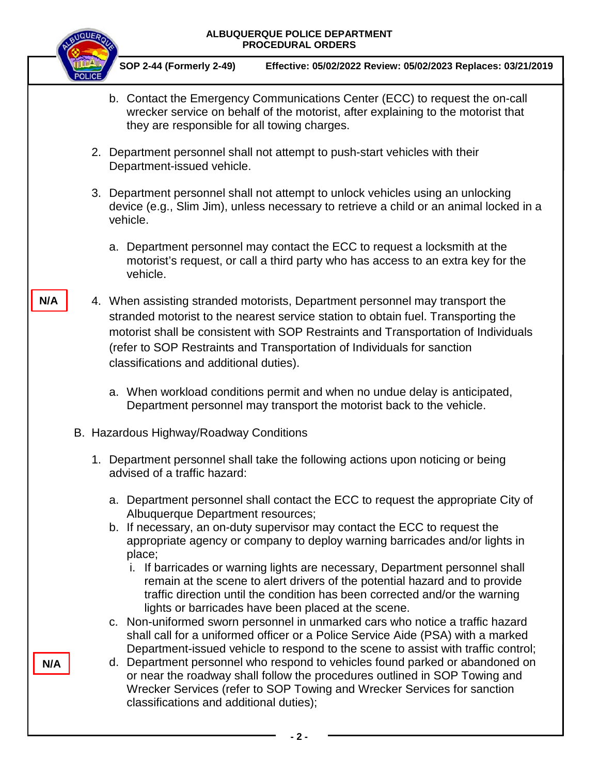### **ALBUQUERQUE POLICE DEPARTMENT PROCEDURAL ORDERS**